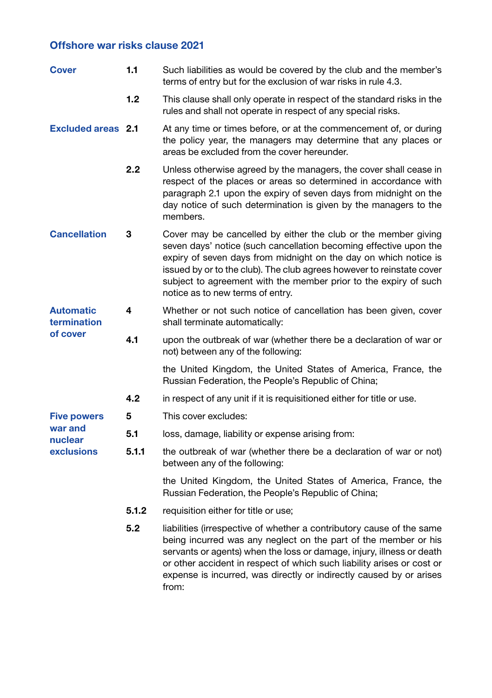## Offshore war risks clause 2021

| <b>Cover</b>                                           | 1.1   | Such liabilities as would be covered by the club and the member's<br>terms of entry but for the exclusion of war risks in rule 4.3.                                                                                                                                                                                                                                                      |  |
|--------------------------------------------------------|-------|------------------------------------------------------------------------------------------------------------------------------------------------------------------------------------------------------------------------------------------------------------------------------------------------------------------------------------------------------------------------------------------|--|
|                                                        | 1.2   | This clause shall only operate in respect of the standard risks in the<br>rules and shall not operate in respect of any special risks.                                                                                                                                                                                                                                                   |  |
| <b>Excluded areas</b> 2.1                              |       | At any time or times before, or at the commencement of, or during<br>the policy year, the managers may determine that any places or<br>areas be excluded from the cover hereunder.                                                                                                                                                                                                       |  |
|                                                        | 2.2   | Unless otherwise agreed by the managers, the cover shall cease in<br>respect of the places or areas so determined in accordance with<br>paragraph 2.1 upon the expiry of seven days from midnight on the<br>day notice of such determination is given by the managers to the<br>members.                                                                                                 |  |
| <b>Cancellation</b>                                    | 3     | Cover may be cancelled by either the club or the member giving<br>seven days' notice (such cancellation becoming effective upon the<br>expiry of seven days from midnight on the day on which notice is<br>issued by or to the club). The club agrees however to reinstate cover<br>subject to agreement with the member prior to the expiry of such<br>notice as to new terms of entry. |  |
| <b>Automatic</b><br>termination<br>of cover            | 4     | Whether or not such notice of cancellation has been given, cover<br>shall terminate automatically:                                                                                                                                                                                                                                                                                       |  |
|                                                        | 4.1   | upon the outbreak of war (whether there be a declaration of war or<br>not) between any of the following:                                                                                                                                                                                                                                                                                 |  |
|                                                        |       | the United Kingdom, the United States of America, France, the<br>Russian Federation, the People's Republic of China;                                                                                                                                                                                                                                                                     |  |
|                                                        | 4.2   | in respect of any unit if it is requisitioned either for title or use.                                                                                                                                                                                                                                                                                                                   |  |
| <b>Five powers</b><br>war and<br>nuclear<br>exclusions | 5     | This cover excludes:                                                                                                                                                                                                                                                                                                                                                                     |  |
|                                                        | 5.1   | loss, damage, liability or expense arising from:                                                                                                                                                                                                                                                                                                                                         |  |
|                                                        | 5.1.1 | the outbreak of war (whether there be a declaration of war or not)<br>between any of the following:                                                                                                                                                                                                                                                                                      |  |
|                                                        |       | the United Kingdom, the United States of America, France, the<br>Russian Federation, the People's Republic of China;                                                                                                                                                                                                                                                                     |  |
|                                                        | 5.1.2 | requisition either for title or use;                                                                                                                                                                                                                                                                                                                                                     |  |
|                                                        | 5.2   | liabilities (irrespective of whether a contributory cause of the same<br>being incurred was any neglect on the part of the member or his<br>servants or agents) when the loss or damage, injury, illness or death<br>or other accident in respect of which such liability arises or cost or<br>expense is incurred, was directly or indirectly caused by or arises<br>from:              |  |